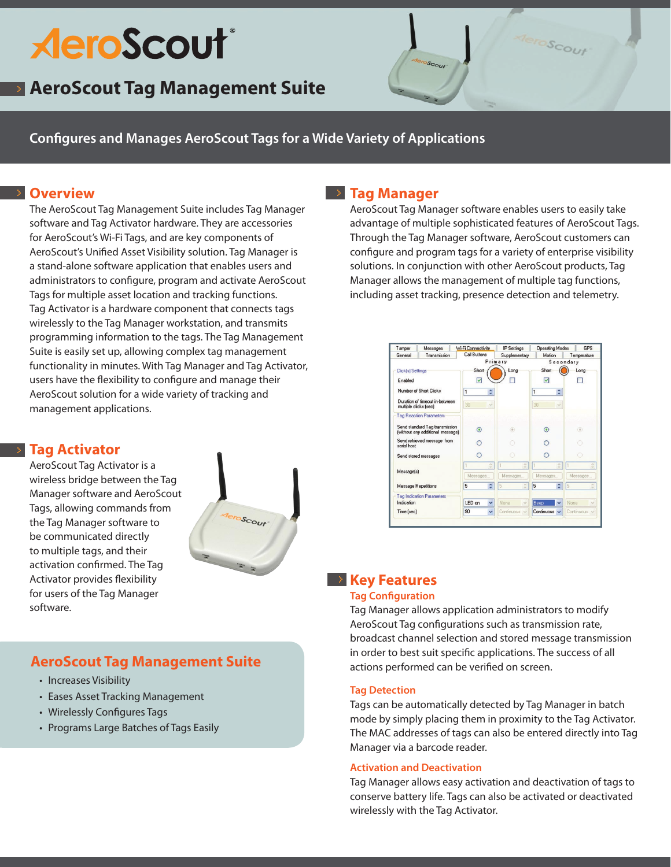# **AeroScout**®

## **AeroScout Tag Management Suite**

**Configures and Manages AeroScout Tags for a Wide Variety of Applications**

### **Overview**

The AeroScout Tag Management Suite includes Tag Manager software and Tag Activator hardware. They are accessories for AeroScout's Wi-Fi Tags, and are key components of AeroScout's Unified Asset Visibility solution. Tag Manager is a stand-alone software application that enables users and administrators to configure, program and activate AeroScout Tags for multiple asset location and tracking functions. Tag Activator is a hardware component that connects tags wirelessly to the Tag Manager workstation, and transmits programming information to the tags. The Tag Management Suite is easily set up, allowing complex tag management functionality in minutes. With Tag Manager and Tag Activator, users have the flexibility to configure and manage their AeroScout solution for a wide variety of tracking and management applications.

## **Tag Manager**

AeroScout Tag Manager software enables users to easily take advantage of multiple sophisticated features of AeroScout Tags. Through the Tag Manager software, AeroScout customers can configure and program tags for a variety of enterprise visibility solutions. In conjunction with other AeroScout products, Tag Manager allows the management of multiple tag functions, including asset tracking, presence detection and telemetry.

eroScout



## **Tag Activator**

AeroScout Tag Activator is a wireless bridge between the Tag Manager software and AeroScout Tags, allowing commands from the Tag Manager software to be communicated directly to multiple tags, and their activation confirmed. The Tag Activator provides flexibility for users of the Tag Manager software.



## **AeroScout Tag Management Suite**

- Increases Visibility
- Eases Asset Tracking Management
- Wirelessly Configures Tags
- • Programs Large Batches of Tags Easily

## **EXECUTE:** Key Features

#### **Tag Configuration**

Tag Manager allows application administrators to modify AeroScout Tag configurations such as transmission rate, broadcast channel selection and stored message transmission in order to best suit specific applications. The success of all actions performed can be verified on screen.

#### **Tag Detection**

Tags can be automatically detected by Tag Manager in batch mode by simply placing them in proximity to the Tag Activator. The MAC addresses of tags can also be entered directly into Tag Manager via a barcode reader.

#### **Activation and Deactivation**

Tag Manager allows easy activation and deactivation of tags to conserve battery life. Tags can also be activated or deactivated wirelessly with the Tag Activator.